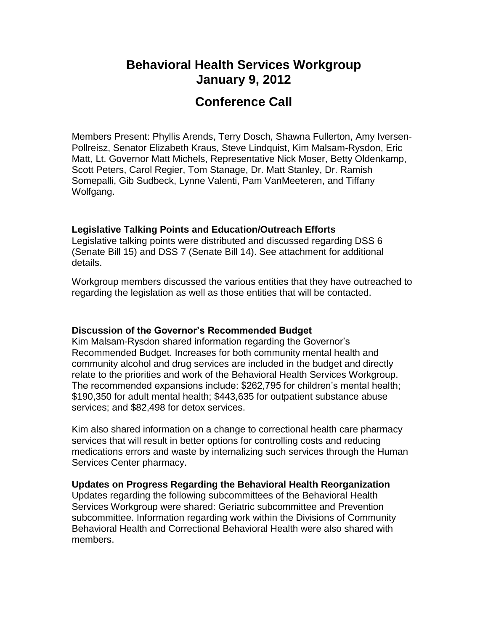## **Behavioral Health Services Workgroup January 9, 2012**

# **Conference Call**

Members Present: Phyllis Arends, Terry Dosch, Shawna Fullerton, Amy Iversen-Pollreisz, Senator Elizabeth Kraus, Steve Lindquist, Kim Malsam-Rysdon, Eric Matt, Lt. Governor Matt Michels, Representative Nick Moser, Betty Oldenkamp, Scott Peters, Carol Regier, Tom Stanage, Dr. Matt Stanley, Dr. Ramish Somepalli, Gib Sudbeck, Lynne Valenti, Pam VanMeeteren, and Tiffany Wolfgang.

### **Legislative Talking Points and Education/Outreach Efforts**

Legislative talking points were distributed and discussed regarding DSS 6 (Senate Bill 15) and DSS 7 (Senate Bill 14). See attachment for additional details.

Workgroup members discussed the various entities that they have outreached to regarding the legislation as well as those entities that will be contacted.

### **Discussion of the Governor's Recommended Budget**

Kim Malsam-Rysdon shared information regarding the Governor's Recommended Budget. Increases for both community mental health and community alcohol and drug services are included in the budget and directly relate to the priorities and work of the Behavioral Health Services Workgroup. The recommended expansions include: \$262,795 for children's mental health; \$190,350 for adult mental health; \$443,635 for outpatient substance abuse services; and \$82,498 for detox services.

Kim also shared information on a change to correctional health care pharmacy services that will result in better options for controlling costs and reducing medications errors and waste by internalizing such services through the Human Services Center pharmacy.

### **Updates on Progress Regarding the Behavioral Health Reorganization**

Updates regarding the following subcommittees of the Behavioral Health Services Workgroup were shared: Geriatric subcommittee and Prevention subcommittee. Information regarding work within the Divisions of Community Behavioral Health and Correctional Behavioral Health were also shared with members.